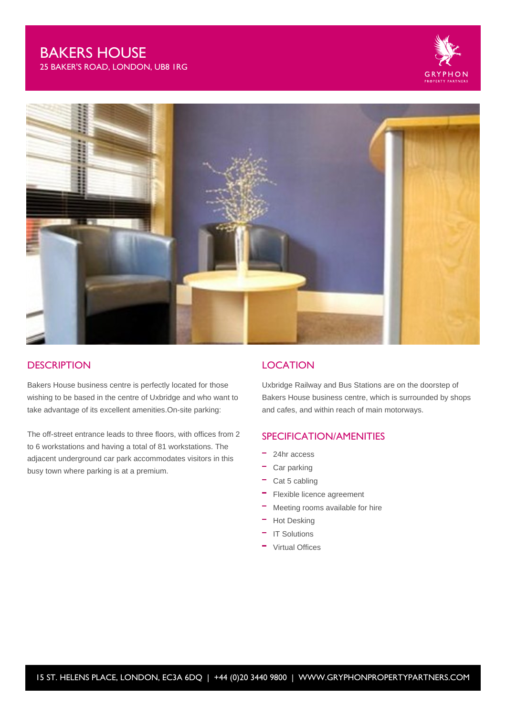# BAKERS HOUSE

25 BAKER'S ROAD, LONDON, UB8 1RG





#### **DESCRIPTION**

Bakers House business centre is perfectly located for those wishing to be based in the centre of Uxbridge and who want to take advantage of its excellent amenities.On-site parking:

The off-street entrance leads to three floors, with offices from 2 to 6 workstations and having a total of 81 workstations. The adjacent underground car park accommodates visitors in this busy town where parking is at a premium.

#### **LOCATION**

Uxbridge Railway and Bus Stations are on the doorstep of Bakers House business centre, which is surrounded by shops and cafes, and within reach of main motorways.

## SPECIFICATION/AMENITIES

- m. 24hr access
- Car parking
- $\overline{\phantom{a}}$  Cat 5 cabling
- m. Flexible licence agreement
- Meeting rooms available for hire
- Hot Desking
- IT Solutions
- Virtual Offices